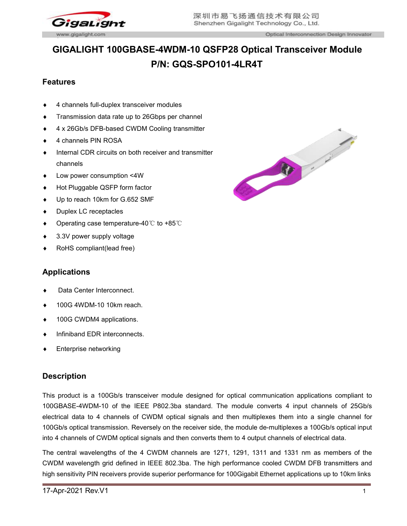

Optical Interconnection Design Innovator

# **GIGALIGHT 100GBASE-4WDM-10 QSFP28 Optical Transceiver Module P/N: GQS-SPO101-4LR4T**

## **Features**

- 4 channels full-duplex transceiver modules
- **Transmission data rate up to 26Gbps per channel**
- 
- 4 channels PIN ROSA
- $\bullet$  Internal CDR circuits on both receiver and transmitter channels
- Low power consumption <4W
- ◆ Hot Pluggable QSFP form factor
- Up to reach 10km for G.652 SMF
- ◆ Duplex LC receptacles
- Operating case temperature-40℃ to +85℃
- ◆ 3.3V power supply voltage
- RoHS compliant(lead free)

### **Applications**

- Data Center Interconnect.
- ◆ 100G 4WDM-10 10km reach.
- ◆ 100G CWDM4 applications.
- ◆ Infiniband EDR interconnects.
- Enterprise networking

### **Description**

This product is a 100Gb/s transceiver module designed for optical communication applications compliant to 100GBASE-4WDM-10 of the IEEE P802.3ba standard. The module converts 4 input channels of 25Gb/s electrical data to 4 channels of CWDM optical signals and then multiplexes them into a single channel for 100Gb/s optical transmission. Reversely on the receiver side, the module de-multiplexes a 100Gb/s optical input into 4 channels of CWDM optical signals and then converts them to 4 output channels of electrical data.

The central wavelengths of the 4 CWDM channels are 1271, 1291, 1311 and 1331 nm as members of the CWDM wavelength grid defined in IEEE 802.3ba. The high performance cooled CWDM DFB transmitters and high sensitivity PIN receivers provide superior performance for 100Gigabit Ethernet applications up to 10km links

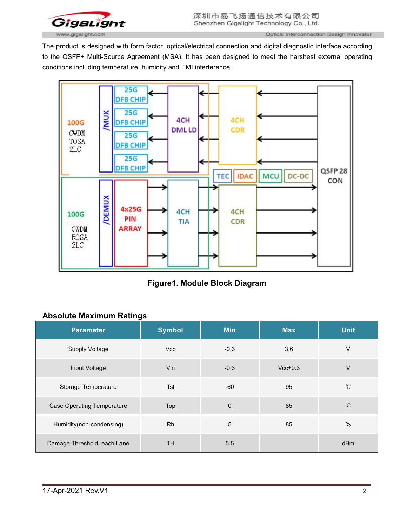

Optical Interconnection Design Innovator

The product is designed with form factor, optical/electrical connection and digital diagnostic interface according to the QSFP+ Multi-Source Agreement (MSA). It has been designed to meet the harshest external operating conditions including temperature, humidity and EMI interference.



**Figure1. Module Block Diagram**

# **Absolute Maximum Ratings**

| <b>Parameter</b>                  | <b>Symbol</b> | <b>Min</b>      | <b>Max</b> | <b>Unit</b>       |
|-----------------------------------|---------------|-----------------|------------|-------------------|
| <b>Supply Voltage</b>             | <b>Vcc</b>    | $-0.3$          | 3.6        | V                 |
| Input Voltage                     | Vin           | $-0.3$          | $Vcc+0.3$  | V                 |
| <b>Storage Temperature</b>        | Tst           | $-60$           | 95         | $^\circ\!{\rm C}$ |
| <b>Case Operating Temperature</b> | Top           | $\mathbf 0$     | 85         | $^{\circ}$ C      |
| Humidity(non-condensing)          | <b>Rh</b>     | $5\phantom{.0}$ | 85         | %                 |
| Damage Threshold, each Lane       | <b>TH</b>     | 5.5             |            | dBm               |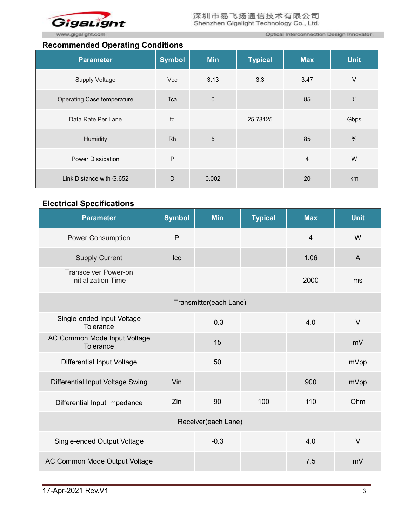

### **Recommended Operating Conditions**

Optical Interconnection Design Innovator

|                            | <b>Recommonada operating conditions</b> |                |                |            |                   |  |  |  |  |
|----------------------------|-----------------------------------------|----------------|----------------|------------|-------------------|--|--|--|--|
| <b>Parameter</b>           | <b>Symbol</b>                           | <b>Min</b>     | <b>Typical</b> | <b>Max</b> | <b>Unit</b>       |  |  |  |  |
| Supply Voltage             | Vcc                                     | 3.13           | 3.3            | 3.47       | V                 |  |  |  |  |
| Operating Case temperature | Tca                                     | $\pmb{0}$      |                | 85         | $^\circ\!{\rm C}$ |  |  |  |  |
| Data Rate Per Lane         | fd                                      |                | 25.78125       |            | Gbps              |  |  |  |  |
| Humidity                   | <b>Rh</b>                               | $\overline{5}$ |                | 85         | $\%$              |  |  |  |  |
| Power Dissipation          | P                                       |                |                | 4          | W                 |  |  |  |  |
| Link Distance with G.652   | D                                       | 0.002          |                | 20         | km                |  |  |  |  |

# **Electrical Specifications**

| <b>Parameter</b>                                          | <b>Symbol</b> | <b>Min</b> | <b>Typical</b> | <b>Max</b>     | <b>Unit</b>  |  |  |
|-----------------------------------------------------------|---------------|------------|----------------|----------------|--------------|--|--|
| <b>Power Consumption</b>                                  | P             |            |                | $\overline{4}$ | W            |  |  |
| <b>Supply Current</b>                                     | $ _{CC}$      |            |                | 1.06           | $\mathsf{A}$ |  |  |
| <b>Transceiver Power-on</b><br><b>Initialization Time</b> |               |            |                | 2000           | ms           |  |  |
| Transmitter(each Lane)                                    |               |            |                |                |              |  |  |
| Single-ended Input Voltage<br>Tolerance                   |               | $-0.3$     |                | 4.0            | $\vee$       |  |  |
| AC Common Mode Input Voltage<br>Tolerance                 |               | 15         |                |                | mV           |  |  |
| <b>Differential Input Voltage</b>                         |               | 50         |                |                | mVpp         |  |  |
| Differential Input Voltage Swing                          | Vin           |            |                | 900            | mVpp         |  |  |
| Differential Input Impedance                              | Zin           | 90         | 100            | 110            | Ohm          |  |  |
| Receiver(each Lane)                                       |               |            |                |                |              |  |  |
| Single-ended Output Voltage                               |               | $-0.3$     |                | 4.0            | $\vee$       |  |  |
| AC Common Mode Output Voltage                             |               |            |                | 7.5            | mV           |  |  |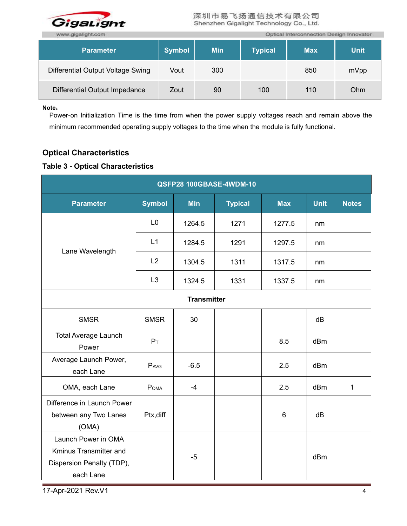

| www.gigalight.com                 |               | Optical Interconnection Design Innovator |                |            |             |  |
|-----------------------------------|---------------|------------------------------------------|----------------|------------|-------------|--|
| <b>Parameter</b>                  | <b>Symbol</b> | <b>Min</b>                               | <b>Typical</b> | <b>Max</b> | <b>Unit</b> |  |
| Differential Output Voltage Swing | Vout          | 300                                      |                | 850        | mVpp        |  |
| Differential Output Impedance     | Zout          | 90                                       | 100            | 110        | Ohm         |  |

**Note**:

Power-on Initialization Time is the time from when the power supply voltages reach and remain above the minimum recommended operating supply voltages to the time when the module is fully functional.

# **Optical Characteristics**

# **Table 3 - Optical Characteristics**

| QSFP28 100GBASE-4WDM-10                                                                 |                  |            |                |            |             |              |  |  |  |
|-----------------------------------------------------------------------------------------|------------------|------------|----------------|------------|-------------|--------------|--|--|--|
| <b>Parameter</b>                                                                        | <b>Symbol</b>    | <b>Min</b> | <b>Typical</b> | <b>Max</b> | <b>Unit</b> | <b>Notes</b> |  |  |  |
|                                                                                         | L <sub>0</sub>   | 1264.5     | 1271           | 1277.5     | nm          |              |  |  |  |
| Lane Wavelength                                                                         | L1               | 1284.5     | 1291           | 1297.5     | nm          |              |  |  |  |
|                                                                                         | L2               | 1304.5     | 1311           | 1317.5     | nm          |              |  |  |  |
|                                                                                         | L3               | 1324.5     | 1331           | 1337.5     | nm          |              |  |  |  |
| <b>Transmitter</b>                                                                      |                  |            |                |            |             |              |  |  |  |
| <b>SMSR</b>                                                                             | <b>SMSR</b>      | 30         |                |            | dB          |              |  |  |  |
| <b>Total Average Launch</b><br>Power                                                    | $P_T$            |            |                | 8.5        | dBm         |              |  |  |  |
| Average Launch Power,<br>each Lane                                                      | PAVG             | $-6.5$     |                | 2.5        | dBm         |              |  |  |  |
| OMA, each Lane                                                                          | P <sub>OMA</sub> | $-4$       |                | 2.5        | dBm         | $\mathbf{1}$ |  |  |  |
| Difference in Launch Power<br>between any Two Lanes<br>(OMA)                            | Ptx, diff        |            |                | $\,6\,$    | dB          |              |  |  |  |
| Launch Power in OMA<br>Kminus Transmitter and<br>Dispersion Penalty (TDP),<br>each Lane |                  | $-5$       |                |            | dBm         |              |  |  |  |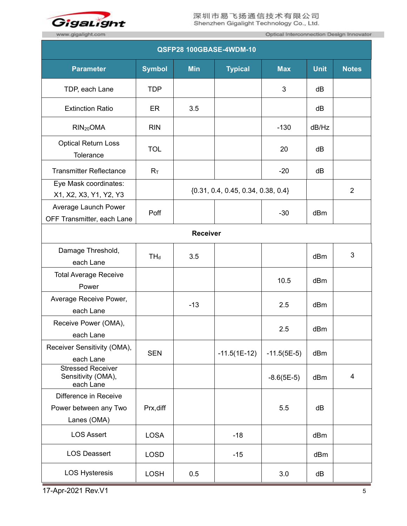

п

Optical Interconnection Design Innovator

| QSFP28 100GBASE-4WDM-10                                       |               |            |                                      |               |             |                |  |  |
|---------------------------------------------------------------|---------------|------------|--------------------------------------|---------------|-------------|----------------|--|--|
| <b>Parameter</b>                                              | <b>Symbol</b> | <b>Min</b> | <b>Typical</b>                       | <b>Max</b>    | <b>Unit</b> | <b>Notes</b>   |  |  |
| TDP, each Lane                                                | <b>TDP</b>    |            |                                      | 3             | dB          |                |  |  |
| <b>Extinction Ratio</b>                                       | ER            | 3.5        |                                      |               | dB          |                |  |  |
| RIN <sub>20</sub> OMA                                         | <b>RIN</b>    |            |                                      | $-130$        | dB/Hz       |                |  |  |
| <b>Optical Return Loss</b><br>Tolerance                       | <b>TOL</b>    |            |                                      | 20            | dB          |                |  |  |
| <b>Transmitter Reflectance</b>                                | $R_T$         |            |                                      | $-20$         | dB          |                |  |  |
| Eye Mask coordinates:<br>X1, X2, X3, Y1, Y2, Y3               |               |            | ${0.31, 0.4, 0.45, 0.34, 0.38, 0.4}$ |               |             | $\overline{2}$ |  |  |
| Average Launch Power<br>OFF Transmitter, each Lane            | Poff          |            |                                      | $-30$         | dBm         |                |  |  |
| Receiver                                                      |               |            |                                      |               |             |                |  |  |
| Damage Threshold,<br>each Lane                                | $TH_d$        | 3.5        |                                      |               | dBm         | 3              |  |  |
| <b>Total Average Receive</b><br>Power                         |               |            |                                      | 10.5          | dBm         |                |  |  |
| Average Receive Power,<br>each Lane                           |               | $-13$      |                                      | 2.5           | dBm         |                |  |  |
| Receive Power (OMA),<br>each Lane                             |               |            |                                      | 2.5           | dBm         |                |  |  |
| Receiver Sensitivity (OMA),<br>each Lane                      | <b>SEN</b>    |            | $-11.5(1E-12)$                       | $-11.5(5E-5)$ | dBm         |                |  |  |
| <b>Stressed Receiver</b><br>Sensitivity (OMA),<br>each Lane   |               |            |                                      | $-8.6(5E-5)$  | dBm         | $\overline{4}$ |  |  |
| Difference in Receive<br>Power between any Two<br>Lanes (OMA) | Prx, diff     |            |                                      | 5.5           | dB          |                |  |  |
| <b>LOS Assert</b>                                             | <b>LOSA</b>   |            | $-18$                                |               | dBm         |                |  |  |
| <b>LOS Deassert</b>                                           | <b>LOSD</b>   |            | $-15$                                |               | dBm         |                |  |  |
| <b>LOS Hysteresis</b>                                         | <b>LOSH</b>   | 0.5        |                                      | 3.0           | dB          |                |  |  |

17-Apr-2021 Rev. V1 5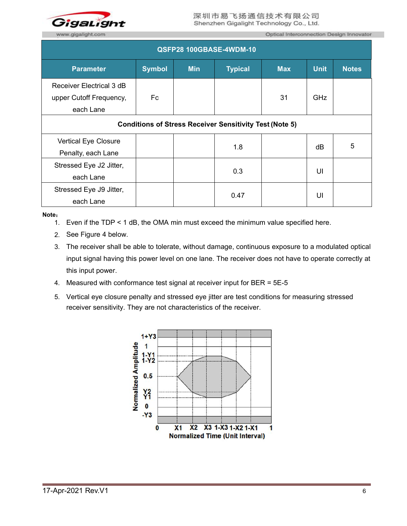

Optical Interconnection Design Innovator

| QSFP28 100GBASE-4WDM-10                                          |               |            |                |            |             |              |  |  |  |
|------------------------------------------------------------------|---------------|------------|----------------|------------|-------------|--------------|--|--|--|
| <b>Parameter</b>                                                 | <b>Symbol</b> | <b>Min</b> | <b>Typical</b> | <b>Max</b> | <b>Unit</b> | <b>Notes</b> |  |  |  |
| Receiver Electrical 3 dB<br>upper Cutoff Frequency,<br>each Lane | Fc            |            |                | 31         | GHz         |              |  |  |  |
| <b>Conditions of Stress Receiver Sensitivity Test (Note 5)</b>   |               |            |                |            |             |              |  |  |  |
| Vertical Eye Closure<br>Penalty, each Lane                       |               |            | 1.8            |            | dB          | 5            |  |  |  |
| Stressed Eye J2 Jitter,<br>each Lane                             |               |            | 0.3            |            | UI          |              |  |  |  |
| Stressed Eye J9 Jitter,<br>each Lane                             |               |            | 0.47           |            | UI          |              |  |  |  |

**Note**:

- 1. Even if the TDP < 1 dB, the OMA min must exceed the minimum value specified here.
- 2. See Figure 4 below.
- 3. The receiver shall be able to tolerate, without damage, continuous exposure to a modulated optical input signal having this power level on one lane. The receiver does not have to operate correctly at this input power.
- 4. Measured with conformance test signal at receiver input for BER = 5E-5
- 5. Vertical eye closure penalty and stressed eye jitter are test conditions for measuring stressed receiver sensitivity. They are not characteristics of the receiver.

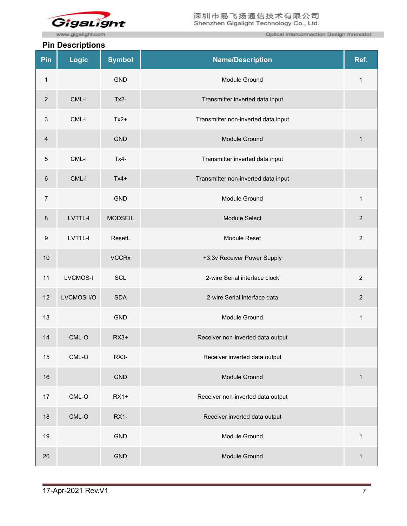

www.gigalight.com

#### **Pin Descriptions**

Optical Interconnection Design Innovator

|                  | . <b>Doodriptiono</b> |                |                                     |                |
|------------------|-----------------------|----------------|-------------------------------------|----------------|
| Pin              | Logic                 | <b>Symbol</b>  | <b>Name/Description</b>             | Ref.           |
| $\mathbf{1}$     |                       | <b>GND</b>     | Module Ground                       | $\mathbf{1}$   |
| $\overline{2}$   | CML-I                 | $Tx2-$         | Transmitter inverted data input     |                |
| $\mathsf 3$      | $CML-I$               | $Tx2+$         | Transmitter non-inverted data input |                |
| $\overline{4}$   |                       | <b>GND</b>     | Module Ground                       | $\mathbf{1}$   |
| $\overline{5}$   | CML-I                 | $Tx4-$         | Transmitter inverted data input     |                |
| $6\phantom{1}$   | CML-I                 | $Tx4+$         | Transmitter non-inverted data input |                |
| $\overline{7}$   |                       | <b>GND</b>     | Module Ground                       | $\mathbf{1}$   |
| 8                | LVTTL-I               | <b>MODSEIL</b> | Module Select                       | $\sqrt{2}$     |
| $\boldsymbol{9}$ | LVTTL-I               | ResetL         | Module Reset                        | $\overline{c}$ |
| 10               |                       | <b>VCCRx</b>   | +3.3v Receiver Power Supply         |                |
| 11               | <b>LVCMOS-I</b>       | <b>SCL</b>     | 2-wire Serial interface clock       | $\overline{c}$ |
| 12               | LVCMOS-I/O            | <b>SDA</b>     | 2-wire Serial interface data        | $\mathbf 2$    |
| 13               |                       | <b>GND</b>     | Module Ground                       | $\mathbf{1}$   |
| 14               | CML-O                 | $RX3+$         | Receiver non-inverted data output   |                |
| 15               | $CML-O$               | RX3-           | Receiver inverted data output       |                |
| 16               |                       | <b>GND</b>     | Module Ground                       | $\mathbf{1}$   |
| 17               | CML-O                 | $RX1+$         | Receiver non-inverted data output   |                |
| 18               | $CML-O$               | <b>RX1-</b>    | Receiver inverted data output       |                |
| 19               |                       | <b>GND</b>     | Module Ground                       | $\mathbf{1}$   |
| 20               |                       | <b>GND</b>     | Module Ground                       | $\mathbf{1}$   |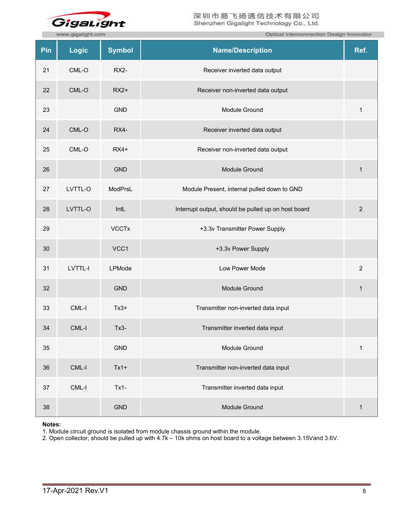

|     | Optical Interconnection Design Innovator<br>www.gigalight.com |               |                                                     |                |  |  |
|-----|---------------------------------------------------------------|---------------|-----------------------------------------------------|----------------|--|--|
| Pin | <b>Logic</b>                                                  | <b>Symbol</b> | <b>Name/Description</b>                             | Ref.           |  |  |
| 21  | $CML-O$                                                       | RX2-          | Receiver inverted data output                       |                |  |  |
| 22  | $CML-O$                                                       | $RX2+$        | Receiver non-inverted data output                   |                |  |  |
| 23  |                                                               | <b>GND</b>    | Module Ground                                       | $\mathbf{1}$   |  |  |
| 24  | $CML-O$                                                       | RX4-          | Receiver inverted data output                       |                |  |  |
| 25  | CML-O                                                         | $RX4+$        | Receiver non-inverted data output                   |                |  |  |
| 26  |                                                               | <b>GND</b>    | Module Ground                                       | $\mathbf{1}$   |  |  |
| 27  | LVTTL-O                                                       | ModPrsL       | Module Present, internal pulled down to GND         |                |  |  |
| 28  | LVTTL-O                                                       | IntL          | Interrupt output, should be pulled up on host board | $\sqrt{2}$     |  |  |
| 29  |                                                               | <b>VCCTx</b>  | +3.3v Transmitter Power Supply                      |                |  |  |
| 30  |                                                               | VCC1          | +3.3v Power Supply                                  |                |  |  |
| 31  | LVTTL-I                                                       | LPMode        | Low Power Mode                                      | $\overline{2}$ |  |  |
| 32  |                                                               | <b>GND</b>    | Module Ground                                       | $\mathbf{1}$   |  |  |
| 33  | CML-I                                                         | $Tx3+$        | Transmitter non-inverted data input                 |                |  |  |
| 34  | CML-I                                                         | $Tx3-$        | Transmitter inverted data input                     |                |  |  |
| 35  |                                                               | GND           | Module Ground                                       | $\mathbf{1}$   |  |  |
| 36  | $CML-I$                                                       | $Tx1+$        | Transmitter non-inverted data input                 |                |  |  |
| 37  | $CML-I$                                                       | $Tx1 -$       | Transmitter inverted data input                     |                |  |  |
| 38  |                                                               | <b>GND</b>    | Module Ground                                       | $\mathbf{1}$   |  |  |

#### **Notes:**

1. Module circuit ground is isolated from module chassis ground within the module.

2. Open collector; should be pulled up with 4.7k – 10k ohms on host board to a voltage between 3.15Vand 3.6V.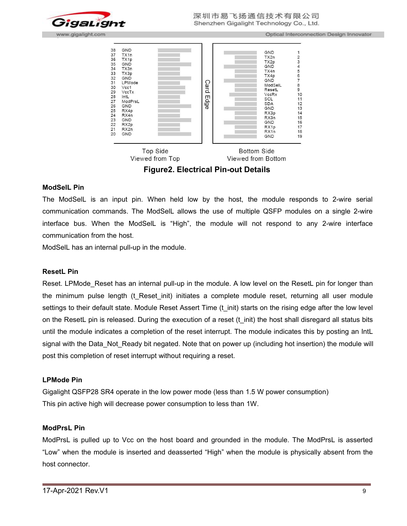

Optical Interconnection Design Innovator



Viewed from Top Viewed from Bottom

**Figure2. Electrical Pin-out Details**

#### **ModSelL Pin**

The ModSelL is an input pin. When held low by the host, the module responds to 2-wire serial communication commands. The ModSelL allows the use of multiple QSFP modules on a single 2-wire interface bus. When the ModSelL is "High", the module will not respond to any 2-wire interface communication from the host.

ModSelL has an internal pull-up in the module.

#### **ResetL Pin**

Reset. LPMode Reset has an internal pull-up in the module. A low level on the ResetL pin for longer than the minimum pulse length (t Reset init) initiates a complete module reset, returning all user module settings to their default state. Module Reset Assert Time (t init) starts on the rising edge after the low level on the ResetL pin is released. During the execution of a reset (t\_init) the host shall disregard all status bits until the module indicates a completion of the reset interrupt. The module indicates this by posting an IntL signal with the Data Not Ready bit negated. Note that on power up (including hot insertion) the module will post this completion of reset interrupt without requiring a reset.

#### **LPMode Pin**

Gigalight QSFP28 SR4 operate in the low power mode (less than 1.5 W power consumption) This pin active high will decrease power consumption to less than 1W.

#### **ModPrsL Pin**

ModPrsL is pulled up to Vcc on the host board and grounded in the module. The ModPrsL is asserted "Low" when the module is inserted and deasserted "High" when the module is physically absent from the host connector.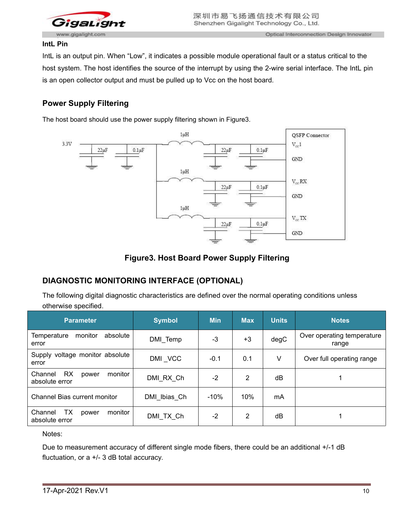

#### **IntL Pin**

IntL is an output pin. When "Low", it indicates a possible module operational fault or a status critical to the host system. The host identifies the source of the interrupt by using the 2-wire serial interface. The IntL pin is an open collector output and must be pulled up to Vcc on the host board.

# **Power Supply Filtering**

The host board should use the power supply filtering shown in Figure3.



#### **Figure3. Host Board Power Supply Filtering**

# **DIAGNOSTIC MONITORING INTERFACE (OPTIONAL)**

The following digital diagnostic characteristics are defined over the normal operating conditions unless otherwise specified.

| <b>Parameter</b>                                           | <b>Symbol</b> | <b>Min</b> | <b>Max</b> | <b>Units</b> | <b>Notes</b>                        |
|------------------------------------------------------------|---------------|------------|------------|--------------|-------------------------------------|
| monitor<br>absolute<br>Temperature<br>error                | DMI Temp      | $-3$       | $+3$       | degC         | Over operating temperature<br>range |
| voltage monitor absolute<br>Supply<br>error                | DMI_VCC       | $-0.1$     | 0.1        | V            | Over full operating range           |
| <b>RX</b><br>monitor<br>Channel<br>power<br>absolute error | DMI_RX_Ch     | $-2$       | 2          | dB           |                                     |
| <b>Channel Bias current monitor</b>                        | DMI_Ibias_Ch  | $-10%$     | 10%        | mA           |                                     |
| <b>TX</b><br>Channel<br>monitor<br>power<br>absolute error | DMI_TX_Ch     | $-2$       | 2          | dB           |                                     |

Notes:

Due to measurement accuracy of different single mode fibers, there could be an additional +/-1 dB fluctuation, or a +/- 3 dB total accuracy.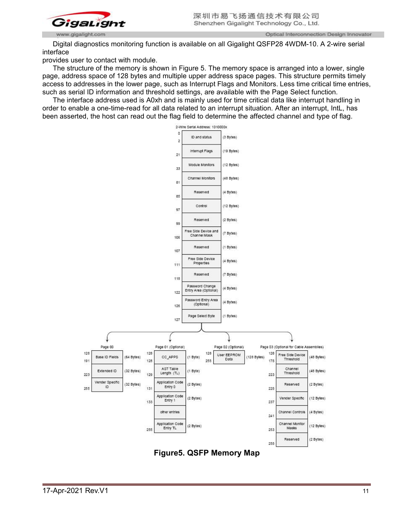

Optical Interconnection Design Innovator

Digital diagnostics monitoring function is available on all Gigalight QSFP28 4WDM-10. A 2-wire serial interface

provides user to contact with module.

The structure of the memory is shown in Figure 5. The memory space is arranged into a lower, single page, address space of 128 bytes and multiple upper address space pages. This structure permits timely access to addresses in the lower page, such as Interrupt Flags and Monitors. Less time critical time entries, such as serial ID information and threshold settings, are available with the Page Select function.

The interface address used is A0xh and is mainly used for time critical data like interrupt handling in order to enable a one-time-read for all data related to an interrupt situation. After an interrupt, IntL, has been asserted, the host can read out the flag field to determine the affected channel and type of flag.



**Figure5. QSFP Memory Map**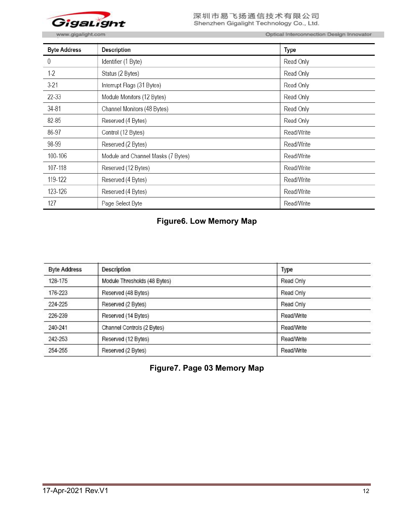

www.gigalight.com

Optical Interconnection Design Innovator

| <b>Byte Address</b> | <b>Description</b>                 | Type       |
|---------------------|------------------------------------|------------|
| 0                   | Identifier (1 Byte)                | Read Only  |
| $1-2$               | Status (2 Bytes)                   | Read Only  |
| $3-21$              | Interrupt Flags (31 Bytes)         | Read Only  |
| 22-33               | Module Monitors (12 Bytes)         | Read Only  |
| 34-81               | Channel Monitors (48 Bytes)        | Read Only  |
| 82-85               | Reserved (4 Bytes)                 | Read Only  |
| 86-97               | Control (12 Bytes)                 | Read/Write |
| 98-99               | Reserved (2 Bytes)                 | Read/Write |
| 100-106             | Module and Channel Masks (7 Bytes) | Read/Write |
| 107-118             | Reserved (12 Bytes)                | Read/Write |
| 119-122             | Reserved (4 Bytes)                 | Read/Write |
| 123-126             | Reserved (4 Bytes)                 | Read/Write |
| 127                 | Page Select Byte                   | Read/Write |

# **Figure6. Low Memory Map**

| <b>Byte Address</b> | <b>Description</b>           | Type       |
|---------------------|------------------------------|------------|
| 128-175             | Module Thresholds (48 Bytes) | Read Only  |
| 176-223             | Reserved (48 Bytes)          | Read Only  |
| 224-225             | Reserved (2 Bytes)           | Read Only  |
| 226-239             | Reserved (14 Bytes)          | Read/Write |
| 240-241             | Channel Controls (2 Bytes)   | Read/Write |
| 242-253             | Reserved (12 Bytes)          | Read/Write |
| 254-255             | Reserved (2 Bytes)           | Read/Write |

**Figure7. Page 03 Memory Map**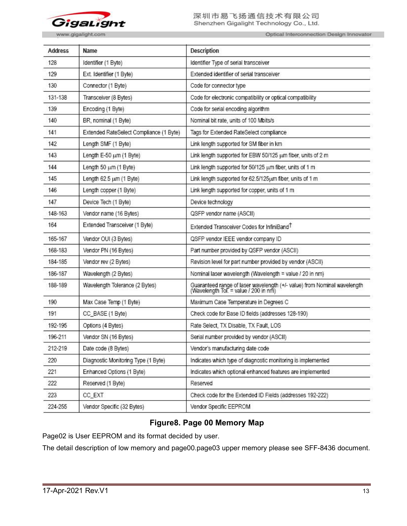

Optical Interconnection Design Innovator

| <b>Address</b> | Name                                    | <b>Description</b>                                                                                                |
|----------------|-----------------------------------------|-------------------------------------------------------------------------------------------------------------------|
| 128            | Identifier (1 Byte)                     | Identifier Type of serial transceiver                                                                             |
| 129            | Ext. Identifier (1 Byte)                | Extended identifier of serial transceiver                                                                         |
| 130            | Connector (1 Byte)                      | Code for connector type                                                                                           |
| 131-138        | Transceiver (8 Bytes)                   | Code for electronic compatibility or optical compatibility                                                        |
| 139            | Encoding (1 Byte)                       | Code for serial encoding algorithm                                                                                |
| 140            | BR, nominal (1 Byte)                    | Nominal bit rate, units of 100 Mbits/s                                                                            |
| 141            | Extended RateSelect Compliance (1 Byte) | Tags for Extended RateSelect compliance                                                                           |
| 142            | Length SMF (1 Byte)                     | Link length supported for SM fiber in km                                                                          |
| 143            | Length E-50 um (1 Byte)                 | Link length supported for EBW 50/125 um fiber, units of 2 m                                                       |
| 144            | Length 50 um (1 Byte)                   | Link length supported for 50/125 um fiber, units of 1 m                                                           |
| 145            | Length 62.5 um (1 Byte)                 | Link length supported for 62.5/125um fiber, units of 1 m                                                          |
| 146            | Length copper (1 Byte)                  | Link length supported for copper, units of 1 m                                                                    |
| 147            | Device Tech (1 Byte)                    | Device technology                                                                                                 |
| 148-163        | Vendor name (16 Bytes)                  | QSFP vendor name (ASCII)                                                                                          |
| 164            | Extended Transceiver (1 Byte)           | Extended Transceiver Codes for InfiniBand <sup>T</sup>                                                            |
| 165-167        | Vendor OUI (3 Bytes)                    | QSFP vendor IEEE vendor company ID                                                                                |
| 168-183        | Vendor PN (16 Bytes)                    | Part number provided by QSFP vendor (ASCII)                                                                       |
| 184-185        | Vendor rev (2 Bytes)                    | Revision level for part number provided by vendor (ASCII)                                                         |
| 186-187        | Wavelength (2 Bytes)                    | Nominal laser wavelength (Wavelength = value / 20 in nm)                                                          |
| 188-189        | Wavelength Tolerance (2 Bytes)          | Guaranteed range of laser wavelength (+/- value) from Nominal wavelength<br>(Wavelength Tol. = value / 200 in nm) |
| 190            | Max Case Temp (1 Byte)                  | Maximum Case Temperature in Degrees C                                                                             |
| 191            | CC_BASE (1 Byte)                        | Check code for Base ID fields (addresses 128-190)                                                                 |
| 192-195        | Options (4 Bytes)                       | Rate Select, TX Disable, TX Fault, LOS                                                                            |
| 196-211        | Vendor SN (16 Bytes)                    | Serial number provided by vendor (ASCII)                                                                          |
| 212-219        | Date code (8 Bytes)                     | Vendor's manufacturing date code                                                                                  |
| 220            | Diagnostic Monitoring Type (1 Byte)     | Indicates which type of diagnostic monitoring is implemented                                                      |
| 221            | Enhanced Options (1 Byte)               | Indicates which optional enhanced features are implemented                                                        |
| 222            | Reserved (1 Byte)                       | Reserved                                                                                                          |
| 223            | CC_EXT                                  | Check code for the Extended ID Fields (addresses 192-222)                                                         |
| 224-255        | Vendor Specific (32 Bytes)              | Vendor Specific EEPROM                                                                                            |

### **Figure8. Page 00 Memory Map**

Page02 is User EEPROM and its format decided by user.

The detail description of low memory and page00.page03 upper memory please see SFF-8436 document.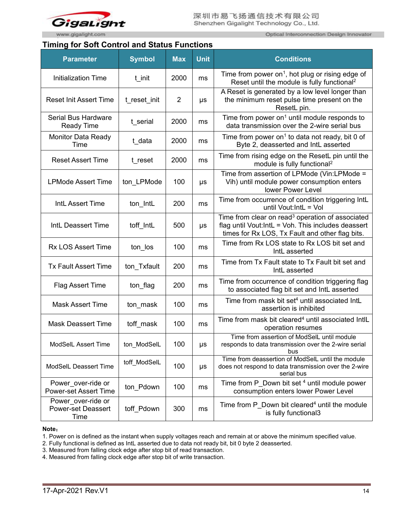

#### **Timing for Soft Control and Status Functions**

Optical Interconnection Design Innovator

| <b>Parameter</b>                                        | <b>Symbol</b> | <b>Max</b>     | <b>Unit</b> | <b>Conditions</b>                                                                                                                                                     |  |
|---------------------------------------------------------|---------------|----------------|-------------|-----------------------------------------------------------------------------------------------------------------------------------------------------------------------|--|
| <b>Initialization Time</b>                              | t init        | 2000           | ms          | Time from power on <sup>1</sup> , hot plug or rising edge of<br>Reset until the module is fully functional <sup>2</sup>                                               |  |
| <b>Reset Init Assert Time</b>                           | t reset init  | $\overline{2}$ | μs          | A Reset is generated by a low level longer than<br>the minimum reset pulse time present on the<br>ResetL pin.                                                         |  |
| Serial Bus Hardware<br><b>Ready Time</b>                | t serial      | 2000           | ms          | Time from power on <sup>1</sup> until module responds to<br>data transmission over the 2-wire serial bus                                                              |  |
| Monitor Data Ready<br>Time                              | t data        | 2000           | ms          | Time from power on <sup>1</sup> to data not ready, bit 0 of<br>Byte 2, deasserted and IntL asserted                                                                   |  |
| <b>Reset Assert Time</b>                                | t reset       | 2000           | ms          | Time from rising edge on the ResetL pin until the<br>module is fully functional <sup>2</sup>                                                                          |  |
| <b>LPMode Assert Time</b>                               | ton LPMode    | 100            | $\mu s$     | Time from assertion of LPMode (Vin:LPMode =<br>Vih) until module power consumption enters<br>lower Power Level                                                        |  |
| IntL Assert Time                                        | ton_IntL      | 200            | ms          | Time from occurrence of condition triggering IntL<br>until Vout: IntL = Vol                                                                                           |  |
| IntL Deassert Time                                      | toff IntL     | 500            | $\mu s$     | Time from clear on read <sup>3</sup> operation of associated<br>flag until Vout:IntL = Voh. This includes deassert<br>times for Rx LOS, Tx Fault and other flag bits. |  |
| <b>Rx LOS Assert Time</b>                               | ton los       | 100            | ms          | Time from Rx LOS state to Rx LOS bit set and<br>IntL asserted                                                                                                         |  |
| <b>Tx Fault Assert Time</b>                             | ton Txfault   | 200            | ms          | Time from Tx Fault state to Tx Fault bit set and<br>IntL asserted                                                                                                     |  |
| Flag Assert Time                                        | ton flag      | 200            | ms          | Time from occurrence of condition triggering flag<br>to associated flag bit set and IntL asserted                                                                     |  |
| <b>Mask Assert Time</b>                                 | ton mask      | 100            | ms          | Time from mask bit set <sup>4</sup> until associated IntL<br>assertion is inhibited                                                                                   |  |
| <b>Mask Deassert Time</b>                               | toff mask     | 100            | ms          | Time from mask bit cleared <sup>4</sup> until associated IntlL<br>operation resumes                                                                                   |  |
| ModSelL Assert Time                                     | ton_ModSelL   | 100            | $\mu s$     | Time from assertion of ModSelL until module<br>responds to data transmission over the 2-wire serial<br>bus                                                            |  |
| ModSelL Deassert Time                                   | toff_ModSelL  | 100            | $\mu s$     | Time from deassertion of ModSelL until the module<br>does not respond to data transmission over the 2-wire<br>serial bus                                              |  |
| Power over-ride or<br><b>Power-set Assert Time</b>      | ton Pdown     | 100            | ms          | Time from P Down bit set 4 until module power<br>consumption enters lower Power Level                                                                                 |  |
| Power over-ride or<br><b>Power-set Deassert</b><br>Time | toff Pdown    | 300            | ms          | Time from P Down bit cleared <sup>4</sup> until the module<br>is fully functional3                                                                                    |  |

#### **Note**:

1. Power on is defined as the instant when supply voltages reach and remain at or above the minimum specified value.

2. Fully functional is defined as IntL asserted due to data not ready bit, bit 0 byte 2 deasserted.

3. Measured from falling clock edge after stop bit of read transaction.

4. Measured from falling clock edge after stop bit of write transaction.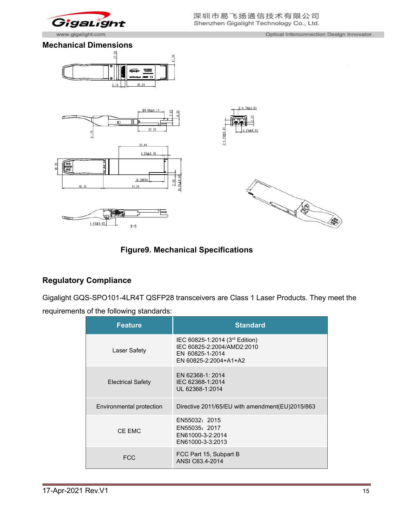

# **Figure9. Mechanical Specifications**

# **Regulatory Compliance**

Gigalight GQS-SPO101-4LR4T QSFP28 transceivers are Class 1 Laser Products. They meet the requirements of the following standards:

| <b>Feature</b>           | <b>Standard</b>                                                                                          |
|--------------------------|----------------------------------------------------------------------------------------------------------|
| Laser Safety             | IEC 60825-1:2014 (3rd Edition)<br>IEC 60825-2:2004/AMD2:2010<br>EN 60825-1-2014<br>EN 60825-2:2004+A1+A2 |
| <b>Electrical Safety</b> | EN 62368-1: 2014<br>IEC 62368-1:2014<br>UL 62368-1:2014                                                  |
| Environmental protection | Directive 2011/65/EU with amendment(EU)2015/863                                                          |
| CE EMC                   | EN55032: 2015<br>EN55035: 2017<br>EN61000-3-2:2014<br>EN61000-3-3:2013                                   |
| <b>FCC</b>               | FCC Part 15, Subpart B<br>ANSI C63.4-2014                                                                |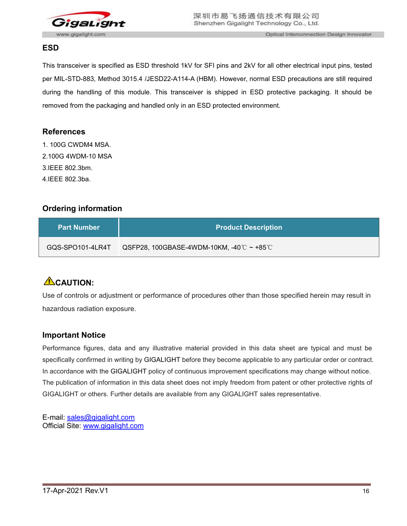

### **ESD**

This transceiver is specified as ESD threshold 1kV for SFI pins and 2kV for all other electrical input pins, tested per MIL-STD-883, Method 3015.4 /JESD22-A114-A (HBM). However, normal ESD precautions are still required during the handling of this module. This transceiver is shipped in ESD protective packaging. It should be removed from the packaging and handled only in an ESD protected environment.

### **References**

1. 100G CWDM4 MSA. 2.100G 4WDM-10 MSA 3.IEEE 802.3bm. 4.IEEE 802.3ba.

# **Ordering information**

| <b>Part Number</b> | <b>Product Description</b>                                |
|--------------------|-----------------------------------------------------------|
| GQS-SPO101-4LR4T   | QSFP28, 100GBASE-4WDM-10KM, -40 $\degree$ ~ +85 $\degree$ |

# **CAUTION:**

Use of controls or adjustment or performance of procedures other than those specified herein may result in hazardous radiation exposure.

### **Important Notice**

Performance figures, data and any illustrative material provided in this data sheet are typical and must be specifically confirmed in writing by GIGALIGHT before they become applicable to any particular order or contract. In accordance with the GIGALIGHT policy of continuous improvement specifications may change without notice. The publication of information in this data sheet does not imply freedom from patent or other protective rights of GIGALIGHT or others. Further details are available from any GIGALIGHT sales representative.

E-mail: [sales@gigalight.com](mailto:sales@gigalight.com) Official Site: [www.gigalight.com](http://www.gigalight.com/)